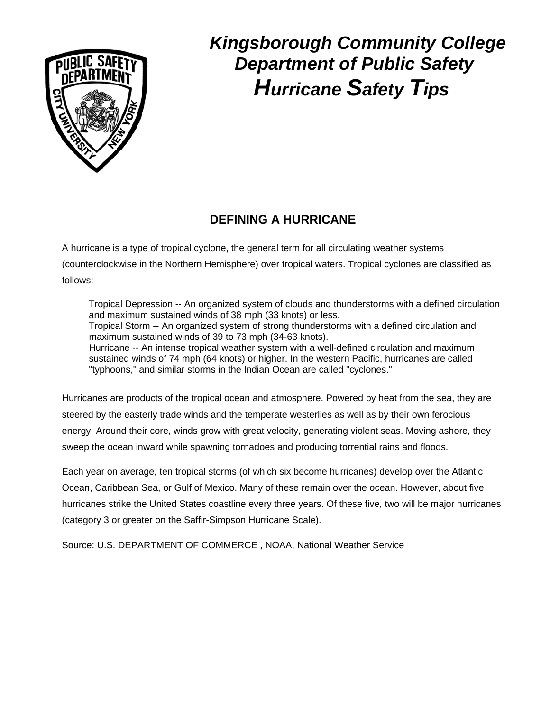

# *Kingsborough Community College Department of Public Safety Hurricane Safety Tips*

## **DEFINING A HURRICANE**

A hurricane is a type of tropical cyclone, the general term for all circulating weather systems (counterclockwise in the Northern Hemisphere) over tropical waters. Tropical cyclones are classified as follows:

Tropical Depression -- An organized system of clouds and thunderstorms with a defined circulation and maximum sustained winds of 38 mph (33 knots) or less. Tropical Storm -- An organized system of strong thunderstorms with a defined circulation and maximum sustained winds of 39 to 73 mph (34-63 knots). Hurricane -- An intense tropical weather system with a well-defined circulation and maximum sustained winds of 74 mph (64 knots) or higher. In the western Pacific, hurricanes are called "typhoons," and similar storms in the Indian Ocean are called "cyclones."

Hurricanes are products of the tropical ocean and atmosphere. Powered by heat from the sea, they are steered by the easterly trade winds and the temperate westerlies as well as by their own ferocious energy. Around their core, winds grow with great velocity, generating violent seas. Moving ashore, they sweep the ocean inward while spawning tornadoes and producing torrential rains and floods.

Each year on average, ten tropical storms (of which six become hurricanes) develop over the Atlantic Ocean, Caribbean Sea, or Gulf of Mexico. Many of these remain over the ocean. However, about five hurricanes strike the United States coastline every three years. Of these five, two will be major hurricanes (category 3 or greater on the Saffir-Simpson Hurricane Scale).

Source: U.S. DEPARTMENT OF COMMERCE , NOAA, National Weather Service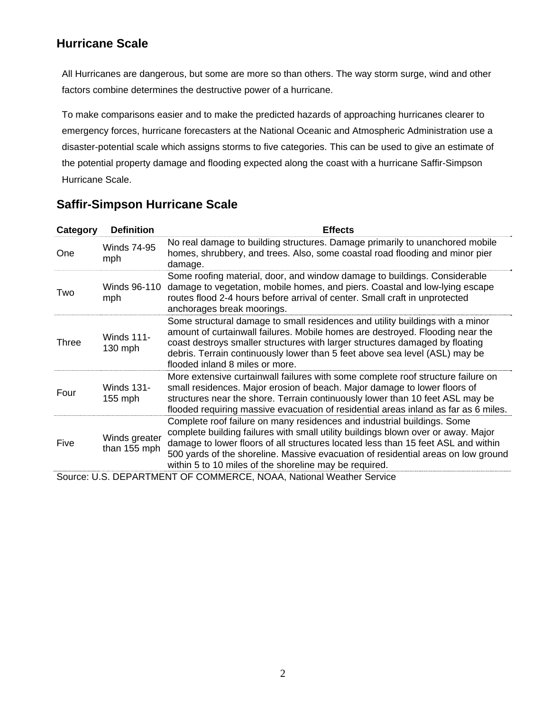### **Hurricane Scale**

All Hurricanes are dangerous, but some are more so than others. The way storm surge, wind and other factors combine determines the destructive power of a hurricane.

To make comparisons easier and to make the predicted hazards of approaching hurricanes clearer to emergency forces, hurricane forecasters at the National Oceanic and Atmospheric Administration use a disaster-potential scale which assigns storms to five categories. This can be used to give an estimate of the potential property damage and flooding expected along the coast with a hurricane Saffir-Simpson Hurricane Scale.

| Category                                                        | <b>Definition</b>              | <b>Effects</b>                                                                                                                                                                                                                                                                                                                                                                                   |
|-----------------------------------------------------------------|--------------------------------|--------------------------------------------------------------------------------------------------------------------------------------------------------------------------------------------------------------------------------------------------------------------------------------------------------------------------------------------------------------------------------------------------|
| One                                                             | <b>Winds 74-95</b><br>mph      | No real damage to building structures. Damage primarily to unanchored mobile<br>homes, shrubbery, and trees. Also, some coastal road flooding and minor pier<br>damage.                                                                                                                                                                                                                          |
| Two                                                             | Winds 96-110<br>mph            | Some roofing material, door, and window damage to buildings. Considerable<br>damage to vegetation, mobile homes, and piers. Coastal and low-lying escape<br>routes flood 2-4 hours before arrival of center. Small craft in unprotected<br>anchorages break moorings.                                                                                                                            |
| <b>Three</b>                                                    | <b>Winds 111-</b><br>$130$ mph | Some structural damage to small residences and utility buildings with a minor<br>amount of curtainwall failures. Mobile homes are destroyed. Flooding near the<br>coast destroys smaller structures with larger structures damaged by floating<br>debris. Terrain continuously lower than 5 feet above sea level (ASL) may be<br>flooded inland 8 miles or more.                                 |
| Four                                                            | <b>Winds 131-</b><br>$155$ mph | More extensive curtainwall failures with some complete roof structure failure on<br>small residences. Major erosion of beach. Major damage to lower floors of<br>structures near the shore. Terrain continuously lower than 10 feet ASL may be<br>flooded requiring massive evacuation of residential areas inland as far as 6 miles.                                                            |
| Five                                                            | Winds greater<br>than 155 mph  | Complete roof failure on many residences and industrial buildings. Some<br>complete building failures with small utility buildings blown over or away. Major<br>damage to lower floors of all structures located less than 15 feet ASL and within<br>500 yards of the shoreline. Massive evacuation of residential areas on low ground<br>within 5 to 10 miles of the shoreline may be required. |
| SOUICE LLS DEPARTMENT OF COMMERCE NOAA National Weather Service |                                |                                                                                                                                                                                                                                                                                                                                                                                                  |

#### **Saffir-Simpson Hurricane Scale**

'ARTMENT OF COMMERCE, NOAA, National Weather Serv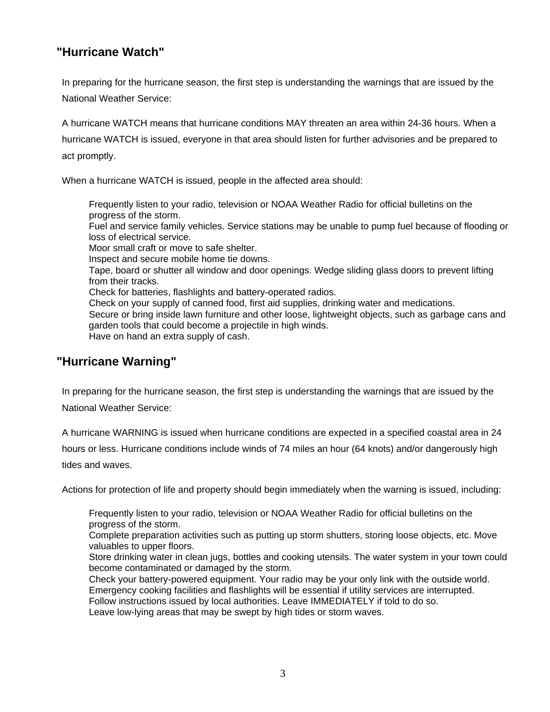#### **"Hurricane Watch"**

In preparing for the hurricane season, the first step is understanding the warnings that are issued by the National Weather Service:

A hurricane WATCH means that hurricane conditions MAY threaten an area within 24-36 hours. When a hurricane WATCH is issued, everyone in that area should listen for further advisories and be prepared to act promptly.

When a hurricane WATCH is issued, people in the affected area should:

Frequently listen to your radio, television or NOAA Weather Radio for official bulletins on the progress of the storm.

Fuel and service family vehicles. Service stations may be unable to pump fuel because of flooding or loss of electrical service.

Moor small craft or move to safe shelter.

Inspect and secure mobile home tie downs.

Tape, board or shutter all window and door openings. Wedge sliding glass doors to prevent lifting from their tracks.

Check for batteries, flashlights and battery-operated radios.

Check on your supply of canned food, first aid supplies, drinking water and medications.

Secure or bring inside lawn furniture and other loose, lightweight objects, such as garbage cans and garden tools that could become a projectile in high winds.

Have on hand an extra supply of cash.

#### **"Hurricane Warning"**

In preparing for the hurricane season, the first step is understanding the warnings that are issued by the National Weather Service:

A hurricane WARNING is issued when hurricane conditions are expected in a specified coastal area in 24 hours or less. Hurricane conditions include winds of 74 miles an hour (64 knots) and/or dangerously high tides and waves.

Actions for protection of life and property should begin immediately when the warning is issued, including:

Frequently listen to your radio, television or NOAA Weather Radio for official bulletins on the progress of the storm.

Complete preparation activities such as putting up storm shutters, storing loose objects, etc. Move valuables to upper floors.

Store drinking water in clean jugs, bottles and cooking utensils. The water system in your town could become contaminated or damaged by the storm.

Check your battery-powered equipment. Your radio may be your only link with the outside world. Emergency cooking facilities and flashlights will be essential if utility services are interrupted.

Follow instructions issued by local authorities. Leave IMMEDIATELY if told to do so.

Leave low-lying areas that may be swept by high tides or storm waves.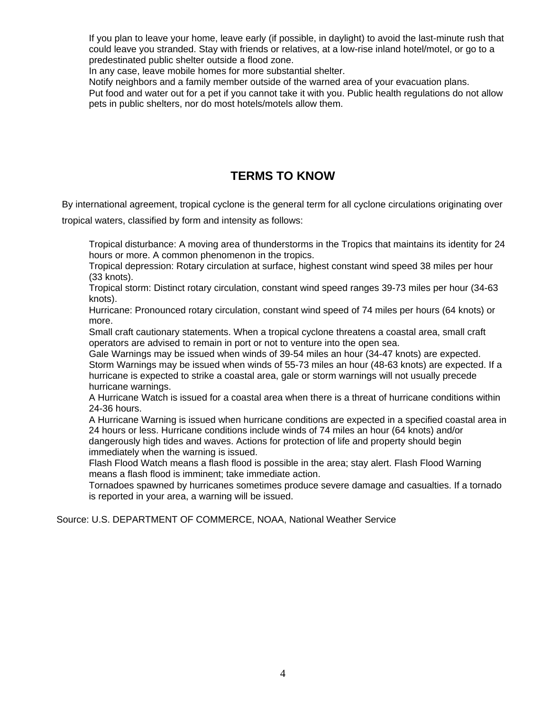If you plan to leave your home, leave early (if possible, in daylight) to avoid the last-minute rush that could leave you stranded. Stay with friends or relatives, at a low-rise inland hotel/motel, or go to a predestinated public shelter outside a flood zone.

In any case, leave mobile homes for more substantial shelter.

Notify neighbors and a family member outside of the warned area of your evacuation plans.

Put food and water out for a pet if you cannot take it with you. Public health regulations do not allow pets in public shelters, nor do most hotels/motels allow them.

#### **TERMS TO KNOW**

By international agreement, tropical cyclone is the general term for all cyclone circulations originating over

tropical waters, classified by form and intensity as follows:

Tropical disturbance: A moving area of thunderstorms in the Tropics that maintains its identity for 24 hours or more. A common phenomenon in the tropics.

Tropical depression: Rotary circulation at surface, highest constant wind speed 38 miles per hour (33 knots).

Tropical storm: Distinct rotary circulation, constant wind speed ranges 39-73 miles per hour (34-63 knots).

Hurricane: Pronounced rotary circulation, constant wind speed of 74 miles per hours (64 knots) or more.

Small craft cautionary statements. When a tropical cyclone threatens a coastal area, small craft operators are advised to remain in port or not to venture into the open sea.

Gale Warnings may be issued when winds of 39-54 miles an hour (34-47 knots) are expected. Storm Warnings may be issued when winds of 55-73 miles an hour (48-63 knots) are expected. If a hurricane is expected to strike a coastal area, gale or storm warnings will not usually precede hurricane warnings.

A Hurricane Watch is issued for a coastal area when there is a threat of hurricane conditions within 24-36 hours.

A Hurricane Warning is issued when hurricane conditions are expected in a specified coastal area in 24 hours or less. Hurricane conditions include winds of 74 miles an hour (64 knots) and/or dangerously high tides and waves. Actions for protection of life and property should begin immediately when the warning is issued.

Flash Flood Watch means a flash flood is possible in the area; stay alert. Flash Flood Warning means a flash flood is imminent; take immediate action.

Tornadoes spawned by hurricanes sometimes produce severe damage and casualties. If a tornado is reported in your area, a warning will be issued.

Source: U.S. DEPARTMENT OF COMMERCE, NOAA, National Weather Service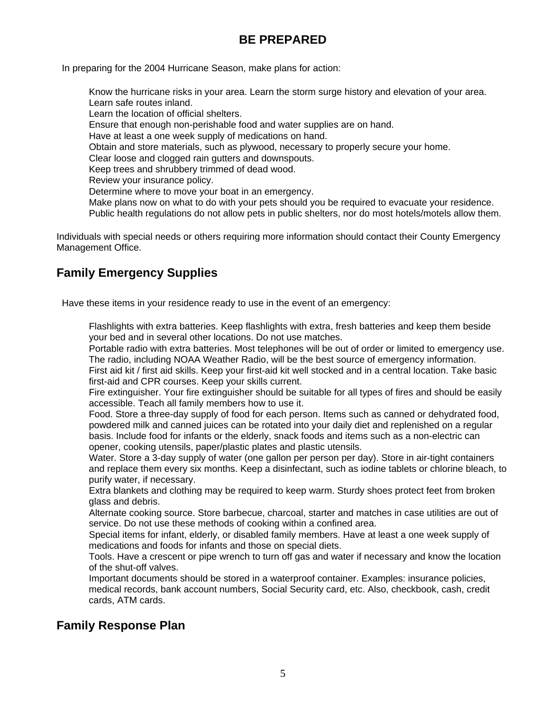#### **BE PREPARED**

In preparing for the 2004 Hurricane Season, make plans for action:

Know the hurricane risks in your area. Learn the storm surge history and elevation of your area. Learn safe routes inland.

Learn the location of official shelters.

Ensure that enough non-perishable food and water supplies are on hand.

Have at least a one week supply of medications on hand.

Obtain and store materials, such as plywood, necessary to properly secure your home.

Clear loose and clogged rain gutters and downspouts.

Keep trees and shrubbery trimmed of dead wood.

Review your insurance policy.

Determine where to move your boat in an emergency.

Make plans now on what to do with your pets should you be required to evacuate your residence.

Public health regulations do not allow pets in public shelters, nor do most hotels/motels allow them.

Individuals with special needs or others requiring more information should contact their County Emergency Management Office.

#### **Family Emergency Supplies**

Have these items in your residence ready to use in the event of an emergency:

Flashlights with extra batteries. Keep flashlights with extra, fresh batteries and keep them beside your bed and in several other locations. Do not use matches.

Portable radio with extra batteries. Most telephones will be out of order or limited to emergency use. The radio, including NOAA Weather Radio, will be the best source of emergency information.

First aid kit / first aid skills. Keep your first-aid kit well stocked and in a central location. Take basic first-aid and CPR courses. Keep your skills current.

Fire extinguisher. Your fire extinguisher should be suitable for all types of fires and should be easily accessible. Teach all family members how to use it.

Food. Store a three-day supply of food for each person. Items such as canned or dehydrated food, powdered milk and canned juices can be rotated into your daily diet and replenished on a regular basis. Include food for infants or the elderly, snack foods and items such as a non-electric can opener, cooking utensils, paper/plastic plates and plastic utensils.

Water. Store a 3-day supply of water (one gallon per person per day). Store in air-tight containers and replace them every six months. Keep a disinfectant, such as iodine tablets or chlorine bleach, to purify water, if necessary.

Extra blankets and clothing may be required to keep warm. Sturdy shoes protect feet from broken glass and debris.

Alternate cooking source. Store barbecue, charcoal, starter and matches in case utilities are out of service. Do not use these methods of cooking within a confined area.

Special items for infant, elderly, or disabled family members. Have at least a one week supply of medications and foods for infants and those on special diets.

Tools. Have a crescent or pipe wrench to turn off gas and water if necessary and know the location of the shut-off valves.

Important documents should be stored in a waterproof container. Examples: insurance policies, medical records, bank account numbers, Social Security card, etc. Also, checkbook, cash, credit cards, ATM cards.

#### **Family Response Plan**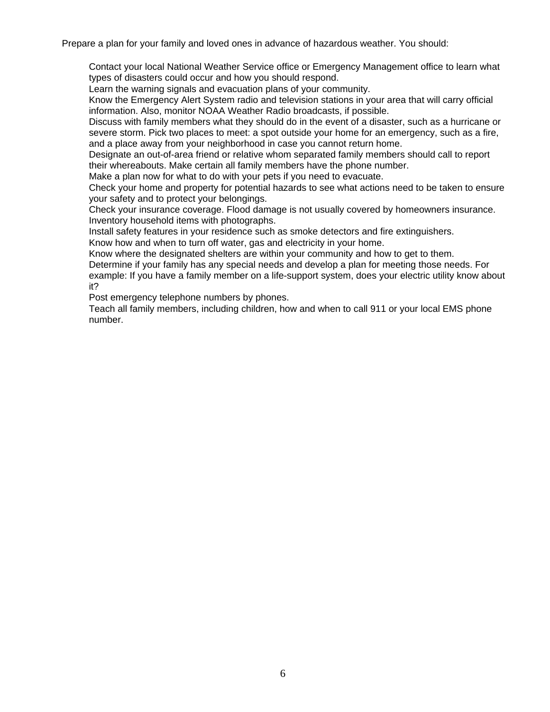Prepare a plan for your family and loved ones in advance of hazardous weather. You should:

Contact your local National Weather Service office or Emergency Management office to learn what types of disasters could occur and how you should respond.

Learn the warning signals and evacuation plans of your community.

Know the Emergency Alert System radio and television stations in your area that will carry official information. Also, monitor NOAA Weather Radio broadcasts, if possible.

Discuss with family members what they should do in the event of a disaster, such as a hurricane or severe storm. Pick two places to meet: a spot outside your home for an emergency, such as a fire, and a place away from your neighborhood in case you cannot return home.

Designate an out-of-area friend or relative whom separated family members should call to report their whereabouts. Make certain all family members have the phone number.

Make a plan now for what to do with your pets if you need to evacuate.

Check your home and property for potential hazards to see what actions need to be taken to ensure your safety and to protect your belongings.

Check your insurance coverage. Flood damage is not usually covered by homeowners insurance. Inventory household items with photographs.

Install safety features in your residence such as smoke detectors and fire extinguishers.

Know how and when to turn off water, gas and electricity in your home.

Know where the designated shelters are within your community and how to get to them.

Determine if your family has any special needs and develop a plan for meeting those needs. For example: If you have a family member on a life-support system, does your electric utility know about it?

Post emergency telephone numbers by phones.

Teach all family members, including children, how and when to call 911 or your local EMS phone number.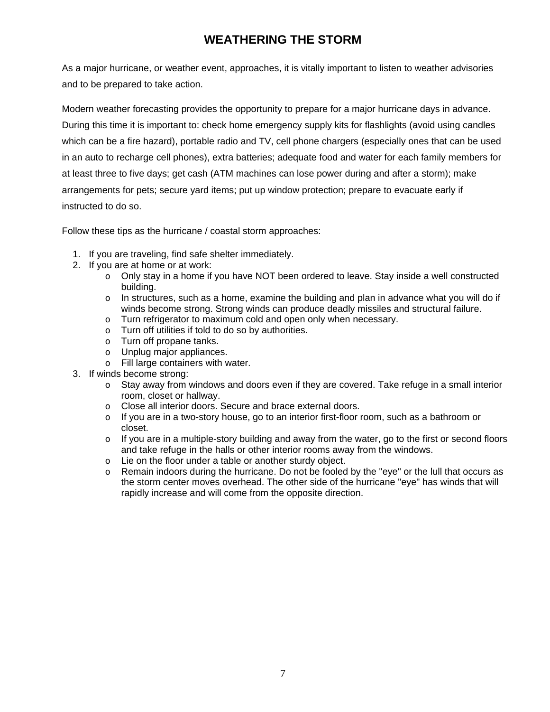#### **WEATHERING THE STORM**

As a major hurricane, or weather event, approaches, it is vitally important to listen to weather advisories and to be prepared to take action.

Modern weather forecasting provides the opportunity to prepare for a major hurricane days in advance. During this time it is important to: check home emergency supply kits for flashlights (avoid using candles which can be a fire hazard), portable radio and TV, cell phone chargers (especially ones that can be used in an auto to recharge cell phones), extra batteries; adequate food and water for each family members for at least three to five days; get cash (ATM machines can lose power during and after a storm); make arrangements for pets; secure yard items; put up window protection; prepare to evacuate early if instructed to do so.

Follow these tips as the hurricane / coastal storm approaches:

- 1. If you are traveling, find safe shelter immediately.
- 2. If you are at home or at work:
	- $\circ$  Only stay in a home if you have NOT been ordered to leave. Stay inside a well constructed building.
	- $\circ$  In structures, such as a home, examine the building and plan in advance what you will do if winds become strong. Strong winds can produce deadly missiles and structural failure.
	- o Turn refrigerator to maximum cold and open only when necessary.
	- o Turn off utilities if told to do so by authorities.
	- o Turn off propane tanks.
	- o Unplug major appliances.
	- o Fill large containers with water.
- 3. If winds become strong:
	- o Stay away from windows and doors even if they are covered. Take refuge in a small interior room, closet or hallway.
	- o Close all interior doors. Secure and brace external doors.
	- $\circ$  If you are in a two-story house, go to an interior first-floor room, such as a bathroom or closet.
	- $\circ$  If you are in a multiple-story building and away from the water, go to the first or second floors and take refuge in the halls or other interior rooms away from the windows.
	- o Lie on the floor under a table or another sturdy object.
	- $\circ$  Remain indoors during the hurricane. Do not be fooled by the "eye" or the lull that occurs as the storm center moves overhead. The other side of the hurricane "eye" has winds that will rapidly increase and will come from the opposite direction.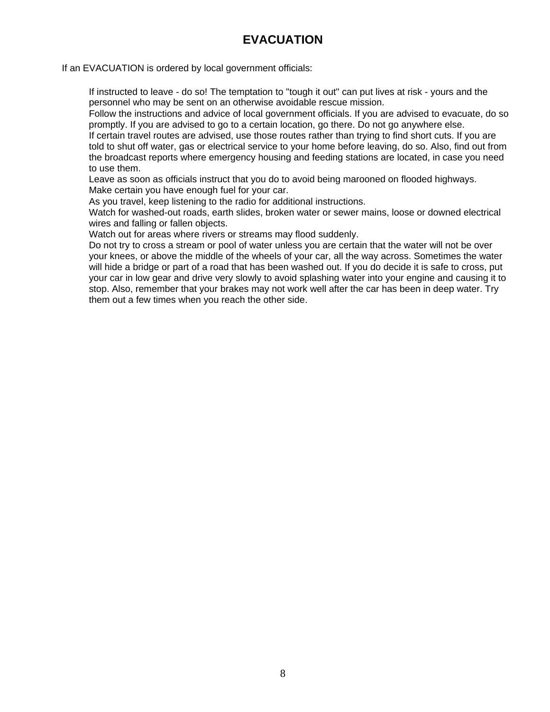#### **EVACUATION**

If an EVACUATION is ordered by local government officials:

If instructed to leave - do so! The temptation to "tough it out" can put lives at risk - yours and the personnel who may be sent on an otherwise avoidable rescue mission.

Follow the instructions and advice of local government officials. If you are advised to evacuate, do so promptly. If you are advised to go to a certain location, go there. Do not go anywhere else.

If certain travel routes are advised, use those routes rather than trying to find short cuts. If you are told to shut off water, gas or electrical service to your home before leaving, do so. Also, find out from the broadcast reports where emergency housing and feeding stations are located, in case you need to use them.

Leave as soon as officials instruct that you do to avoid being marooned on flooded highways. Make certain you have enough fuel for your car.

As you travel, keep listening to the radio for additional instructions.

Watch for washed-out roads, earth slides, broken water or sewer mains, loose or downed electrical wires and falling or fallen objects.

Watch out for areas where rivers or streams may flood suddenly.

Do not try to cross a stream or pool of water unless you are certain that the water will not be over your knees, or above the middle of the wheels of your car, all the way across. Sometimes the water will hide a bridge or part of a road that has been washed out. If you do decide it is safe to cross, put your car in low gear and drive very slowly to avoid splashing water into your engine and causing it to stop. Also, remember that your brakes may not work well after the car has been in deep water. Try them out a few times when you reach the other side.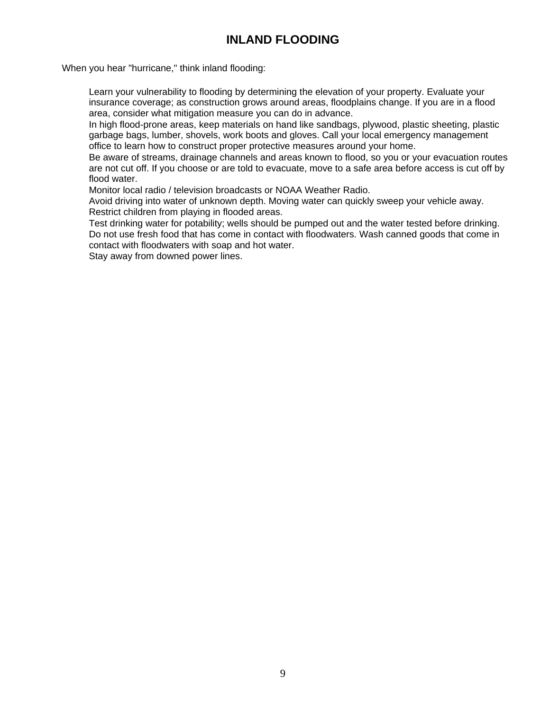#### **INLAND FLOODING**

When you hear "hurricane," think inland flooding:

Learn your vulnerability to flooding by determining the elevation of your property. Evaluate your insurance coverage; as construction grows around areas, floodplains change. If you are in a flood area, consider what mitigation measure you can do in advance.

In high flood-prone areas, keep materials on hand like sandbags, plywood, plastic sheeting, plastic garbage bags, lumber, shovels, work boots and gloves. Call your local emergency management office to learn how to construct proper protective measures around your home.

Be aware of streams, drainage channels and areas known to flood, so you or your evacuation routes are not cut off. If you choose or are told to evacuate, move to a safe area before access is cut off by flood water.

Monitor local radio / television broadcasts or NOAA Weather Radio.

Avoid driving into water of unknown depth. Moving water can quickly sweep your vehicle away. Restrict children from playing in flooded areas.

Test drinking water for potability; wells should be pumped out and the water tested before drinking. Do not use fresh food that has come in contact with floodwaters. Wash canned goods that come in contact with floodwaters with soap and hot water.

Stay away from downed power lines.